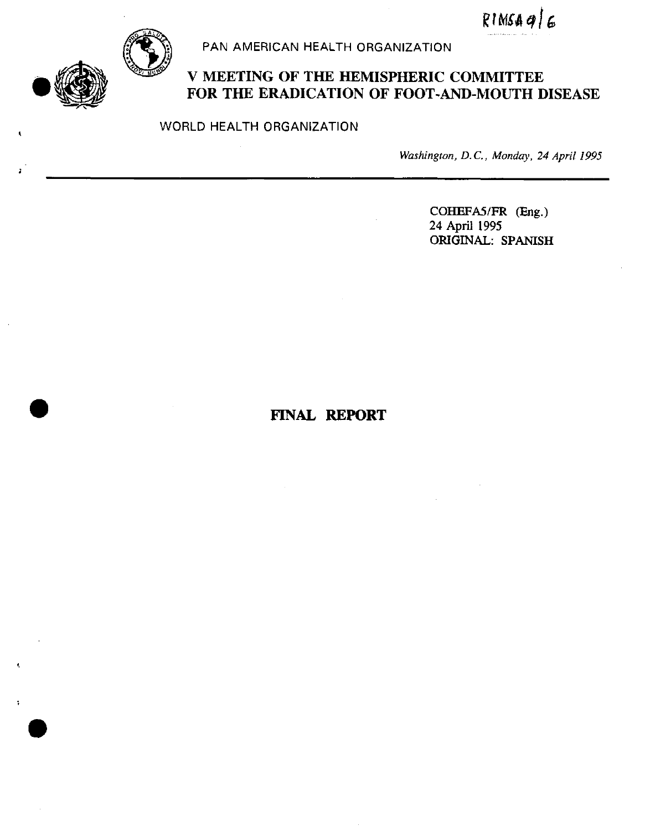$RIMSAQ/G$ 



PAN AMERICAN HEALTH ORGANIZATION

# **V MEETING OF THE HEMISPHERIC COMMITTEE FOR THE ERADICATION OF FOOT-AND-MOUTH DISEASE**

WORLD HEALTH ORGANIZATION

*Washington, D. C., Monday, 24 April 1995*

COHEFAS/FR (Eng.) 24 **April** 1995 ORIGINAL: SPANISH

# $\mathbf{FINAL}$  **REPORT**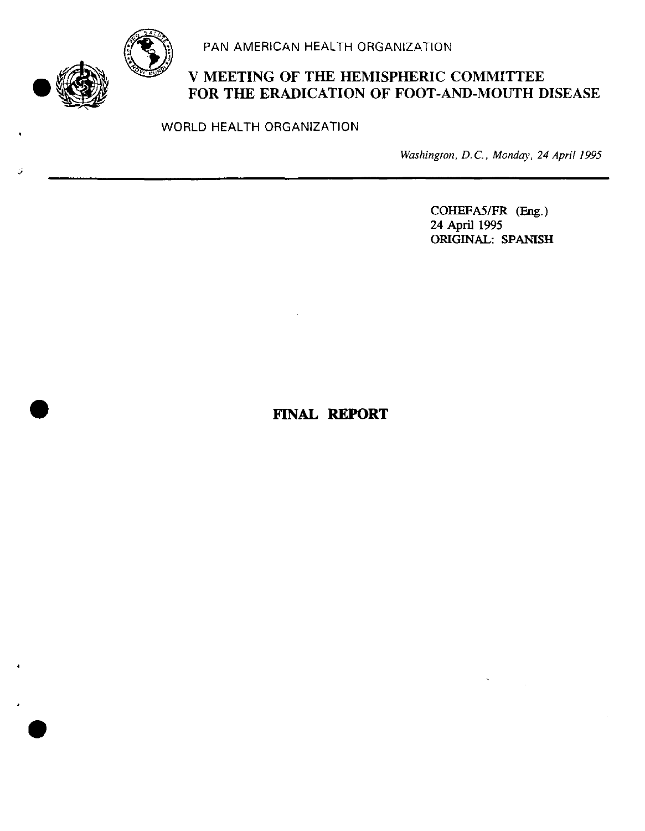

.

.

PAN AMERICAN HEALTH ORGANIZATION

# **V MEETING OF THE HEMISPHERIC COMMITTEE FOR THE ERADICATION OF FOOT-AND-MOUTH DISEASE**

WORLD HEALTH ORGANIZATION

*Washington, D. C., Monday, 24 April 1995*

COHEFA5/FR (Eng.) 24 April 1995 ORIGINAL: SPANISH

# . **FINAL REPORT**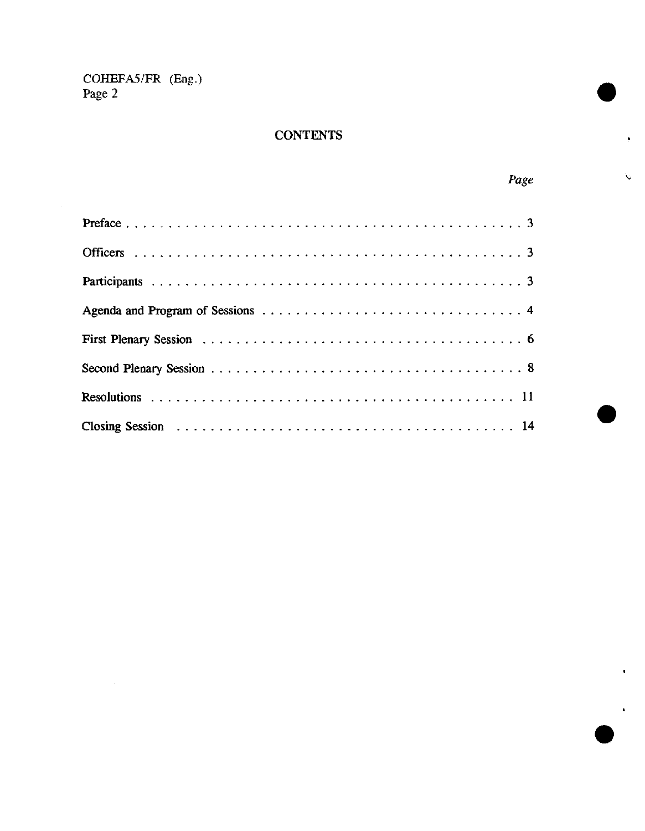# **CONTENTS**

| в. |
|----|
|----|

ţ.

 $\ddot{\mathbf{v}}$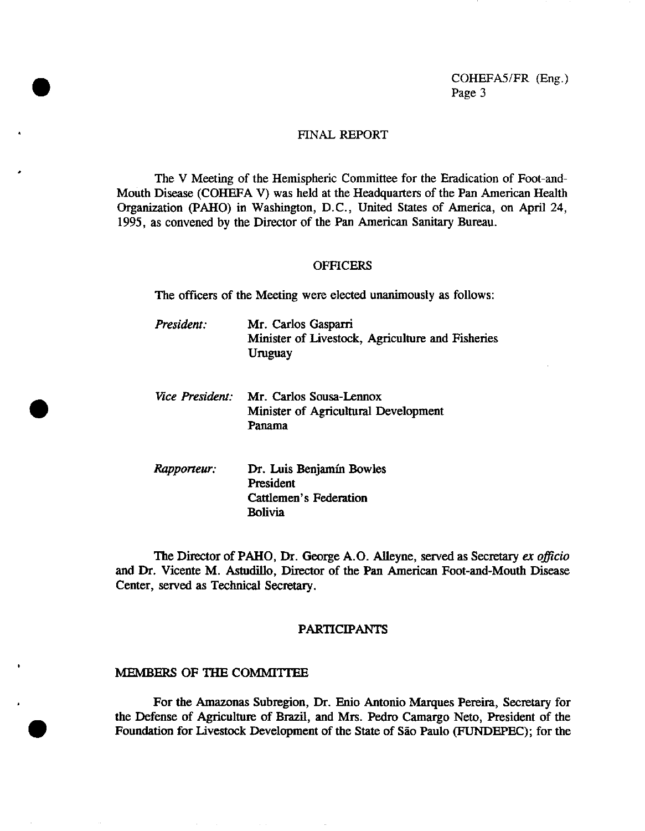### FINAL REPORT

The V Meeting of the Hemispheric Committee for the Eradication of Foot-and-Mouth Disease (COHEFA V) was held at the Headquarters of the Pan American Health Organization (PAHO) in Washington, D.C., United States of America, on April 24, 1995, as convened by the Director of the Pan American Sanitary Bureau.

#### **OFFICERS**

The officers of the Meeting were elected unanimously as follows:

- *President:* Mr. Carlos Gasparri Minister of Livestock, Agriculture and Fisheries Uruguay
- *Vice President:* Mr. Carlos Sousa-Lennox Minister of Agricultural Development Panama
- *Rapporteur:* Dr. Luis Benjamín Bowles President Cattlemen's Federation Bolivia

The Director of PAHO, Dr. George A.O. Alleyne, served as Secretary *ex officio* and Dr. Vicente M. Astudillo, Director of the Pan American Foot-and-Mouth Disease Center, served as Technical Secretary.

#### PARTICIPANTS

## MEMBERS OF THE COMMITTEE

.

.

**o**

For the Amazonas Subregion, Dr. Enio Antonio Marques Pereira, Secretary for the Defense of Agriculture of Brazil, and Mrs. Pedro Camargo Neto, President of the Foundation for Livestock Development of the State of Sao Paulo (FUNDEPEC); for the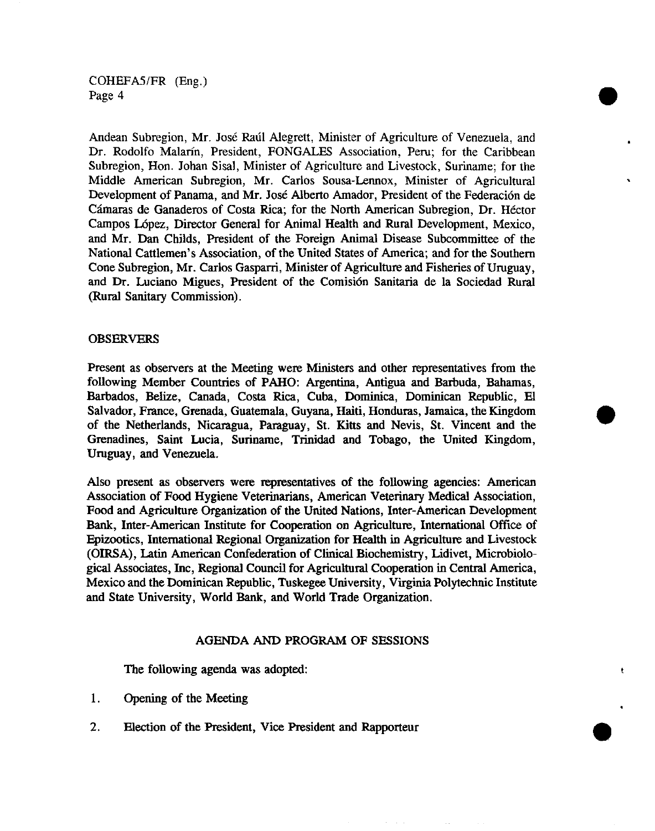Andean Subregion, Mr. José Raúl Alegrett, Minister of Agriculture of Venezuela, and Dr. Rodolfo Malarín, President, FONGALES Association, Peru; for the Caribbean Subregion, Hon. Johan Sisal, Minister of Agriculture and Livestock, Suriname; for the Middle American Subregion, Mr. Carlos Sousa-Lennox, Minister of Agricultural Development of Panama, and Mr. José Alberto Amador, President of the Federación de Cámaras de Ganaderos of Costa Rica; for the North American Subregion, Dr. Héctor Campos López, Director General for Animal Health and Rural Development, Mexico, and Mr. Dan Childs, President of the Foreign Animal Disease Subcommittee of the National Cattlemen's Association, of the United States of America; and for the Southern Cone Subregion, Mr. Carlos Gasparri, Minister of Agriculture and Fisheries of Uruguay, and Dr. Luciano Migues, President of the Comisión Sanitaria de la Sociedad Rural (Rural Sanitary Commission).

## OBSERVERS

Present as observers at the Meeting were Ministers and other representatives from the following Member Countries of PAHO: Argentina, Antigua and Barbuda, Bahamas, Barbados, Belize, Canada, Costa Rica, Cuba, Dominica, Dominican Republic, El Salvador, France, Grenada, Guatemala, Guyana, Haiti, Honduras, Jamaica, the Kingdom of the Netherlands, Nicaragua, Paraguay, St. Kitts and Nevis, St. Vincent and the Grenadines, Saint Lucia, Suriname, Trinidad and Tobago, the United Kingdom, Uruguay, and Venezuela.

Also present as observers were representatives of the following agencies: American Association of Food Hygiene Veterinarians, American Veterinary Medical Association, Food and Agriculture Organization of the United Nations, Inter-American Development Bank, Inter-American Institute for Cooperation on Agriculture, International Office of Epizootics, International Regional Organization for Health in Agriculture and Livestock (OIRSA), Latin American Confederation of Clinical Biochemistry, Lidivet, Microbiological Associates, Inc, Regional Council for Agricultural Cooperation in Central America, Mexico and the Dominican Republic, Tuskegee University, Virginia Polytechnic Institute and State University, World Bank, and World Trade Organization.

### AGENDA AND PROGRAM OF SESSIONS

The following agenda was adopted:

- 1. Opening of the Meeting
- 2. Election of the President, Vice President and Rapporteur .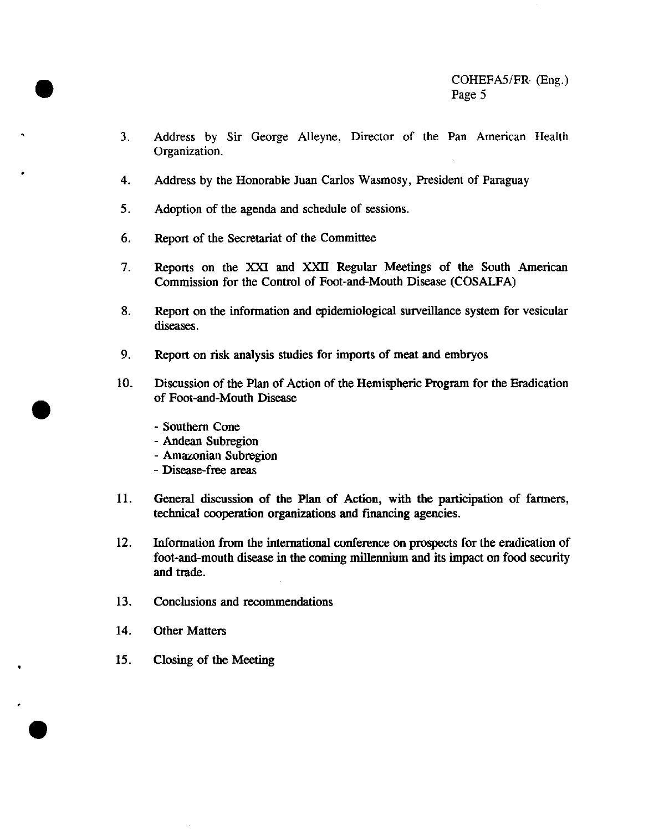- 3. Address by Sir George Alleyne, Director of the Pan American Health Organization.
- 4. Address by the Honorable Juan Carlos Wasmosy, President of Paraguay
- 5. Adoption of the agenda and schedule of sessions.
- 6. Report of the Secretariat of the Committee
- 7. Reports on the XXI and XXII Regular Meetings of the South American Commission for the Control of Foot-and-Mouth Disease (COSALFA)
- 8. Report on the information and epidemiological surveillance system for vesicular diseases.
- 9. Report on risk analysis studies for imports of meat and embryos
- 10. Discussion of the Plan of Action of the Hemispheric Program for the Eradication of Foot-and-Mouth Disease
	- Southern Cone
	- Andean Subregion
	- Amazonian Subregion
	- Disease-free areas
- 11. General discussion of the Plan of Action, with the participation of farmers, technical cooperation organizations and financing agencies.
- 12. Information from the international conference on prospects for the eradication of foot-and-mouth disease in the coming millennium and its impact on food security and trade.
- 13. Conclusions and recommendations
- 14. Other Matters

.

15. Closing of the Meeting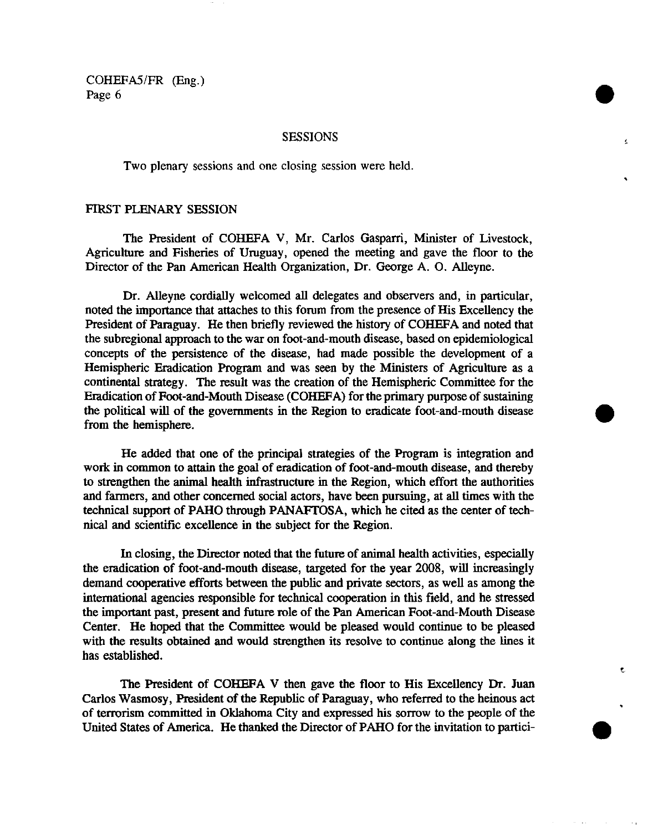### SESSIONS

Two plenary sessions and one closing session were held.

### FIRST PLENARY SESSION

The President of COHEFA V, Mr. Carlos Gasparri, Minister of Livestock, Agriculture and Fisheries of Uruguay, opened the meeting and gave the floor to the Director of the Pan American Health Organization, Dr. George A. O. Alleyne.

Dr. Alleyne cordially welcomed all delegates and observers and, in particular, noted the importance that attaches to this forum from the presence of His Excellency the President of Paraguay. He then briefly reviewed the history of COHEFA and noted that the subregional approach to the war on foot-and-mouth disease, based on epidemiological concepts of the persistence of the disease, had made possible the development of a Hemispheric Eradication Program and was seen by the Ministers of Agriculture as a continental strategy. The result was the creation of the Hemispheric Committee for the Eradication of Foot-and-Mouth Disease (COHEFA) for the primary purpose of sustaining the political will of the governments in the Region to eradicate foot-and-mouth disease from the hemisphere.

He added that one of the principal strategies of the Program is integration and work in common to attain the goal of eradication of foot-and-mouth disease, and thereby to strengthen the animal health infrastructure in the Region, which effort the authorities and farmers, and other concerned social actors, have been pursuing, at all times with the technical support of PAHO through PANAFTOSA, which he cited as the center of technical and scientific excellence in the subject for the Region.

In closing, the Director noted that the future of animal health activities, especially the eradication of foot-and-mouth disease, targeted for the year 2008, will increasingly demand cooperative efforts between the public and private sectors, as well as among the international agencies responsible for technical cooperation in this field, and he stressed the important past, present and future role of the Pan American Foot-and-Mouth Disease Center. He hoped that the Committee would be pleased would continue to be pleased with the results obtained and would strengthen its resolve to continue along the lines it has established.

The President of COHEFA V then gave the floor to His Excellency Dr. Juan Carlos Wasmosy, President of the Republic of Paraguay, who referred to the heinous act of terrorism committed in Oklahoma City and expressed his sorrow to the people of the United States of America. He thanked the Director of PAHO for the invitation to partici- **O**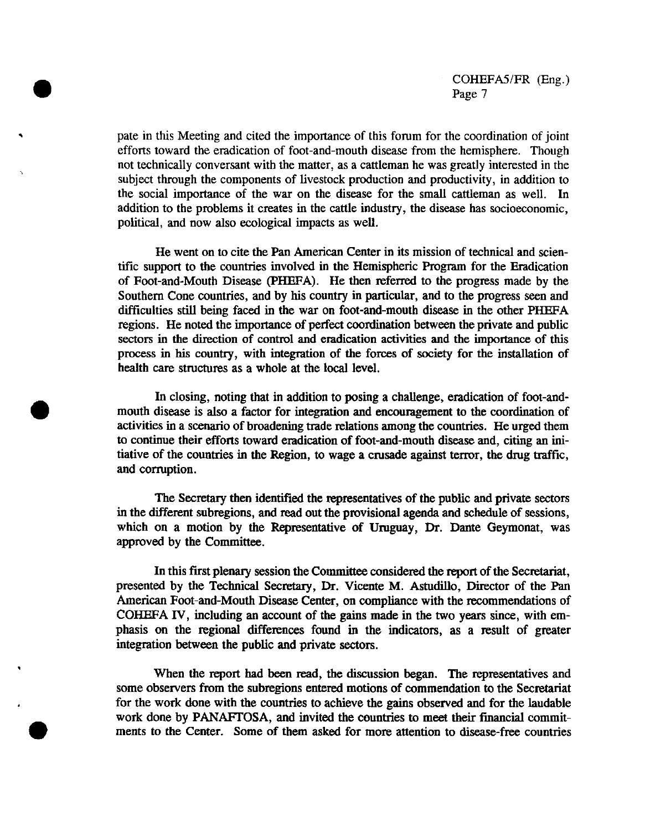pate in this Meeting and cited the importance of this forum for the coordination of joint efforts toward the eradication of foot-and-mouth disease from the hemisphere. Though not technically conversant with the matter, as a cattleman he was greatly interested in the subject through the components of livestock production and productivity, in addition to the social importance of the war on the disease for the small cattleman as well. In addition to the problems it creates in the cattle industry, the disease has socioeconomic, political, and now also ecological impacts as well.

He went on to cite the Pan American Center in its mission of technical and scientific support to the countries involved in the Hemispheric Program for the Eradication of Foot-and-Mouth Disease (PHEFA). He then referred to the progress made by the Southern Cone countries, and by his country in particular, and to the progress seen and difficulties still being faced in the war on foot-and-mouth disease in the other PHEFA regions. He noted the importance of perfect coordination between the private and public sectors in the direction of control and eradication activities and the importance of this process in his country, with integration of the forces of society for the installation of health care structures as a whole at the local level.

In closing, noting that in addition to posing a challenge, eradication of foot-andmouth disease is also a factor for integration and encouragement to the coordination of activities in a scenario of broadening trade relations among the countries. He urged them to continue their efforts toward eradication of foot-and-mouth disease and, citing an initiative of the countries in the Region, to wage a crusade against terror, the drug traffic, and corruption.

The Secretary then identified the representatives of the public and private sectors in the different subregions, and read out the provisional agenda and schedule of sessions, which on a motion by the Representative of Uruguay, Dr. Dante Geymonat, was approved by the Committee.

In this first plenary session the Committee considered the report of the Secretariat, presented by the Technical Secretary, Dr. Vicente M. Astudillo, Director of the Pan American Foot-and-Mouth Disease Center, on compliance with the recommendations of COHEFA IV, including an account of the gains made in the two years since, with emphasis on the regional differences found in the indicators, as a result of greater integration between the public and private sectors.

When the report had been read, the discussion began. The representatives and some observers from the subregions entered motions of commendation to the Secretariat for the work done with the countries to achieve the gains observed and for the laudable work done by PANAFTOSA, and invited the countries to meet their financial commitments to the Center. Some of them asked for more attention to disease-free countries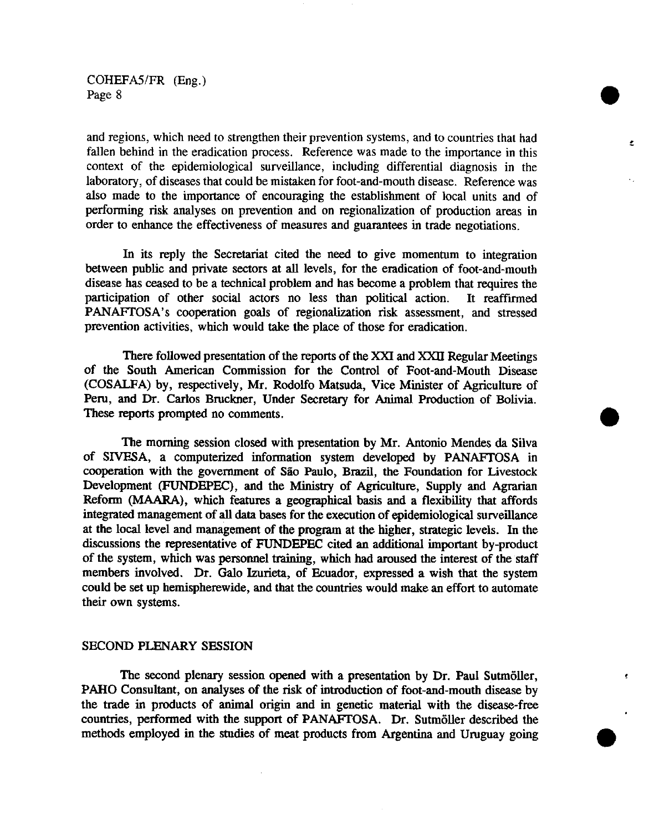and regions, which need to strengthen their prevention systems, and to countries that had fallen behind in the eradication process. Reference was made to the importance in this context of the epidemiological surveillance, including differential diagnosis in the laboratory, of diseases that could be mistaken for foot-and-mouth disease. Reference was also made to the importance of encouraging the establishment of local units and of performing risk analyses on prevention and on regionalization of production areas in order to enhance the effectiveness of measures and guarantees in trade negotiations.

 $\bullet$ 

In its reply the Secretariat cited the need to give momentum to integration between public and private sectors at all levels, for the eradication of foot-and-mouth disease has ceased to be a technical problem and has become a problem that requires the participation of other social actors no less than political action. It reaffirmed PANAFTOSA's cooperation goals of regionalization risk assessment, and stressed prevention activities, which would take the place of those for eradication.

There followed presentation of the reports of the XXI and XXII Regular Meetings of the South American Commission for the Control of Foot-and-Mouth Disease (COSALFA) by, respectively, Mr. Rodolfo Matsuda, Vice Minister of Agriculture of Peru, and Dr. Carlos Bruckner, Under Secretary for Animal Production of Bolivia. These reports prompted no comments.

The morning session closed with presentation by Mr. Antonio Mendes da Silva of SIVESA, a computerized information system developed by PANAFTOSA in cooperation with the government of Sao Paulo, Brazil, the Foundation for Livestock Development (FUNDEPEC), and the Ministry of Agriculture, Supply and Agrarian Reform (MAARA), which features a geographical basis and a flexibility that affords integrated management of all data bases for the execution of epidemiological surveillance at the local level and management of the program at the higher, strategic levels. In the discussions the representative of FUNDEPEC cited an additional important by-product of the system, which was personnel training, which had aroused the interest of the staff members involved. Dr. Galo Izurieta, of Ecuador, expressed a wish that the system could be set up hemispherewide, and that the countries would make an effort to automate their own systems.

#### SECOND PLENARY SESSION

The second plenary session opened with a presentation by Dr. Paul Sutmöller, PAHO Consultant, on analyses of the risk of introduction of foot-and-mouth disease by the trade in products of animal origin and in genetic material with the disease-free countries, performed with the support of PANAFTOSA. Dr. Sutmóller described the methods employed in the studies of meat products from Argentina and Uruguay going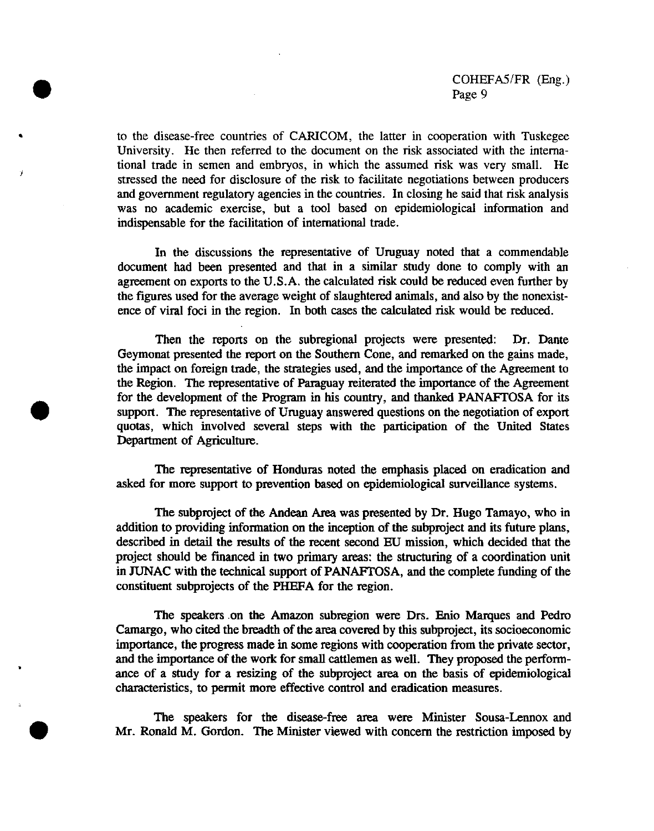to the disease-free countries of CARICOM, the latter in cooperation with Tuskegee University. He then referred to the document on the risk associated with the international trade in semen and embryos, in which the assumed risk was very small. He stressed the need for disclosure of the risk to facilitate negotiations between producers and government regulatory agencies in the countries. In closing he said that risk analysis was no academic exercise, but a tool based on epidemiological information and indispensable for the facilitation of international trade.

In the discussions the representative of Uruguay noted that a commendable document had been presented and that in a similar study done to comply with an agreement on exports to the U.S.A. the calculated risk could be reduced even further by the figures used for the average weight of slaughtered animals, and also by the nonexistence of viral foci in the region. In both cases the calculated risk would be reduced.

Then the reports on the subregional projects were presented: Dr. Dante Geymonat presented the report on the Southern Cone, and remarked on the gains made, the impact on foreign trade, the strategies used, and the importance of the Agreement to the Region. The representative of Paraguay reiterated the importance of the Agreement for the development of the Program in his country, and thanked PANAFTOSA for its support. The representative of Uruguay answered questions on the negotiation of export quotas, which involved several steps with the participation of the United States Department of Agriculture.

The representative of Honduras noted the emphasis placed on eradication and asked for more support to prevention based on epidemiological surveillance systems.

The subproject of the Andean Area was presented by Dr. Hugo Tamayo, who in addition to providing information on the inception of the subproject and its future plans, described in detail the results of the recent second EU mission, which decided that the project should be financed in two primary areas: the structuring of a coordination unit in JUNAC with the technical support of PANAFTOSA, and the complete funding of the constituent subprojects of the PHEFA for the region.

The speakers on the Amazon subregion were Drs. Enio Marques and Pedro Camargo, who cited the breadth of the area covered by this subproject, its socioeconomic importance, the progress made in some regions with cooperation fronm the private sector, and the importance of the work for small cattlemen as well. They proposed the performance of a study for a resizing of the subproject area on the basis of epidemiological characteristics, to permit more effective control and eradication measures.

The speakers for the disease-free area were Minister Sousa-Lennox and Mr. Ronald M. Gordon. The Minister viewed with concern the restriction imposed by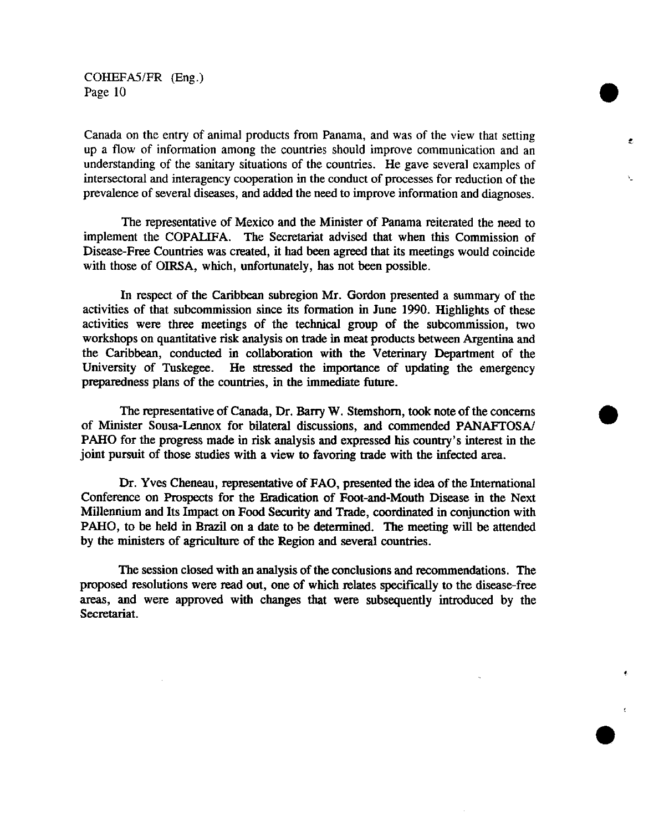Canada on the entry of animal products from Panama, and was of the view that setting up a flow of information among the countries should improve communication and an understanding of the sanitary situations of the countries. He gave several examples of intersectoral and interagency cooperation in the conduct of processes for reduction of the prevalence of several diseases, and added the need to improve information and diagnoses.

The representative of Mexico and the Minister of Panama reiterated the need to implement the COPALIFA. The Secretariat advised that when this Commission of Disease-Free Countries was created, it had been agreed that its meetings would coincide with those of OIRSA, which, unfortunately, has not been possible.

In respect of the Caribbean subregion Mr. Gordon presented a summary of the activities of that subcommission since its formation in June 1990. Highlights of these activities were three meetings of the technical group of the subcommission, two workshops on quantitative risk analysis on trade in meat products between Argentina and the Caribbean, conducted in collaboration with the Veterinary Department of the University of Tuskegee. He stressed the importance of updating the emergency preparedness plans of the countries, in the immediate future.

The representative of Canada, Dr. Barry W. Stemshorn, took note of the concerns of Minister Sousa-Lennox for bilateral discussions, and commended PANAFTOSA/ PAHO for the progress made in risk analysis and expressed his country's interest in the joint pursuit of those studies with a view to favoring trade with the infected area.

Dr. Yves Cheneau, representative of FAO, presented the idea of the International Conference on Prospects for the Eradication of Foot-and-Mouth Disease in the Next Millennium and Its Impact on Food Security and Trade, coordinated in conjunction with PAHO, to be held in Brazil on a date to be determined. The meeting will be attended by the ministers of agriculture of the Region and several countries.

The session closed with an analysis of the conclusions and recommendations. The proposed resolutions were read out, one of which relates specifically to the disease-free areas, and were approved with changes that were subsequently introduced by the Secretariat.

**e**

۸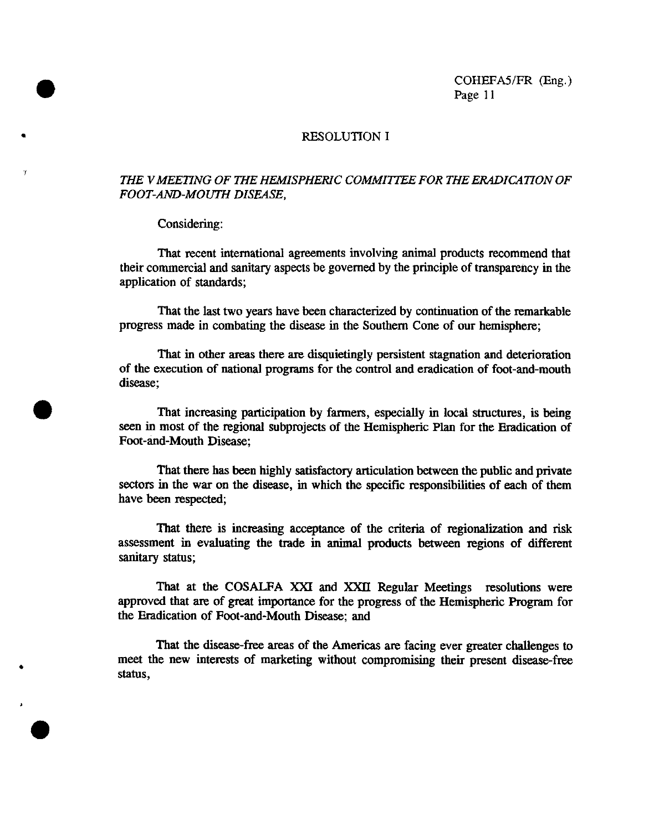### RESOLUTION I

## *THE VMEETING OF THE HEMISPHERIC COMMITTEE FOR THE ERADICA TION OF FOOT-AND-MOUTH DISEASE,*

#### Considering:

**e**

That recent international agreements involving animal products recommend that their commercial and sanitary aspects be governed by the principle of transparency in the application of standards;

That the last two years have been characterized by continuation of the remarkable progress made in combating the disease in the Southern Cone of our hemisphere;

That in other areas there are disquietingly persistent stagnation and deterioration of the execution of national programs for the control and eradication of foot-and-mouth disease;

That increasing participation by farmers, especially in local structures, is being seen in most of the regional subprojects of the Hemispheric Plan for the Eradication of Foot-and-Mouth Disease;

That there has been highly satisfactory articulation between the public and private sectors in the war on the disease, in which the specific responsibilities of each of them have been respected;

That there is increasing acceptance of the criteria of regionalization and risk assessment in evaluating the trade in animal products between regions of different sanitary status;

That at the COSALFA XXI and XXII Regular Meetings resolutions were approved that are of great importance for the progress of the Hemispheric Program for the Eradication of Foot-and-Mouth Disease; and

That the disease-free areas of the Americas are facing ever greater challenges to meet the new interests of marketing without compromising their present disease-free status,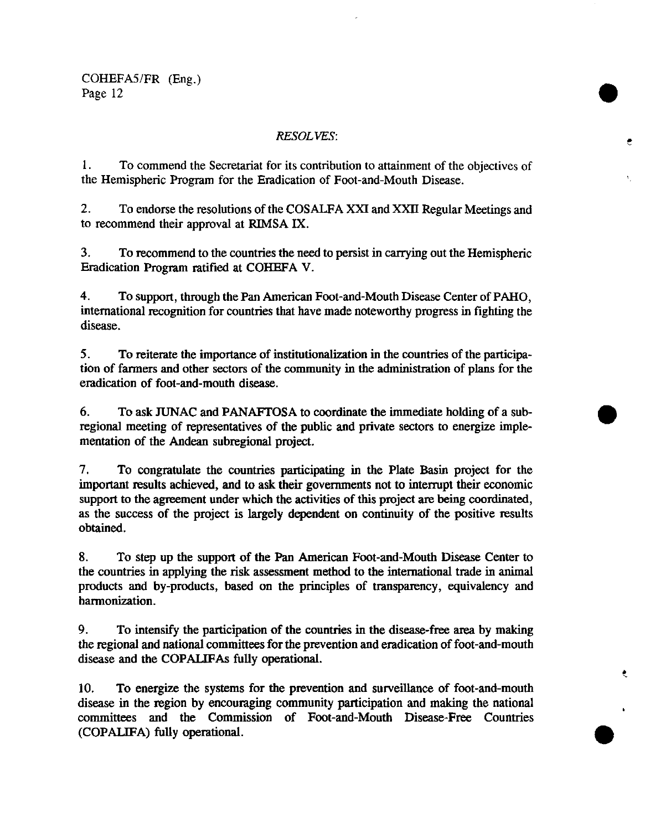## *RESOLVES:*

1. To commend the Secretariat for its contribution to attainment of the objectives of the Hemispheric Program for the Eradication of Foot-and-Mouth Disease.

2. To endorse the resolutions of the COSALFA XXI and XXII Regular Meetings and to recommend their approval at RIMSA IX.

3. To recommend to the countries the need to persist in carrying out the Hemispheric Eradication Program ratified at COHEFA V.

4. To support, through the Pan American Foot-and-Mouth Disease Center of PAHO, international recognition for countries that have made noteworthy progress in fighting the disease.

5. To reiterate the importance of institutionalization in the countries of the participation of farmers and other sectors of the community in the administration of plans for the eradication of foot-and-mouth disease.

6. To ask JUNAC and PANAFTOSA to coordinate the immediate holding of a subregional meeting of representatives of the public and private sectors to energize implementation of the Andean subregional project.

7. To congratulate the countries participating in the Plate Basin project for the important results achieved, and to ask their governments not to interrupt their economic support to the agreement under which the activities of this project are being coordinated, as the success of the project is largely dependent on continuity of the positive results obtained.

8. To step up the support of the Pan American Foot-and-Mouth Disease Center to the countries in applying the risk assessment method to the international trade in animal products and by-products, based on the principles of transparency, equivalency and harmonization.

9. To intensify the participation of the countries in the disease-free area by making the regional and national committees for the prevention and eradication of foot-and-mouth disease and the COPALIFAs fully operational.

ŧ

10. To energize the systems for the prevention and surveillance of foot-and-mouth disease in the region by encouraging community participation and making the national committees and the Commission of Foot-and-Mouth Disease-Free Countries (COPALIFA) fully operational.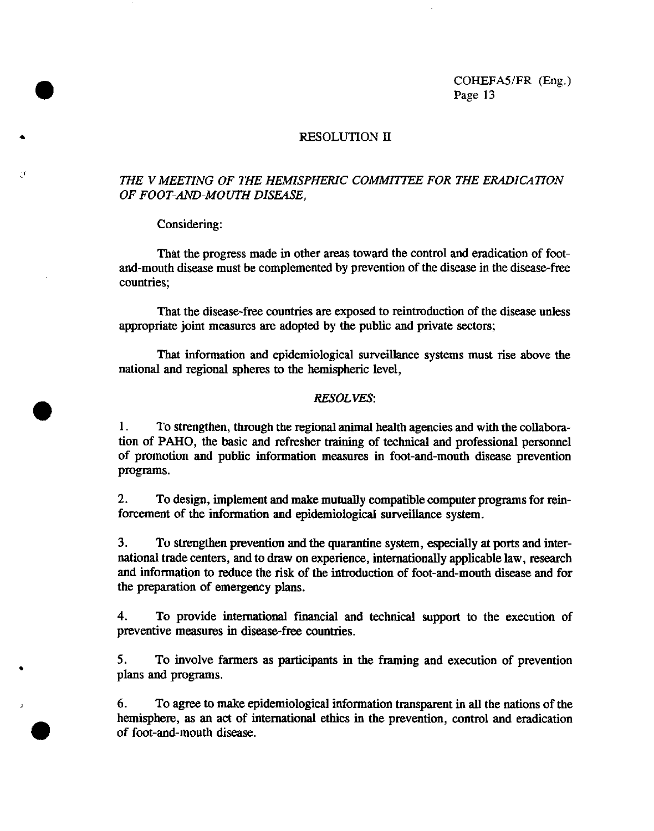## RESOLUTION II

## *THE V MEETING OF THE HEMISPHERIC COMMITTEE FOR THE ERADICATION OF FOOT-AND-MOUTH DISEASE,*

### Considering:

That the progress made in other areas toward the control and eradication of footand-mouth disease must be complemented by prevention of the disease in the disease-free countries;

That the disease-free countries are exposed to reintroduction of the disease unless appropriate joint measures are adopted by the public and private sectors;

That information and epidemiological surveillance systems must rise above the national and regional spheres to the hemispheric level,

#### *RESOLVES:*

1. To strengthen, through the regional animal health agencies and with the collaboration of PAHO, the basic and refresher training of technical and professional personnel of promotion and public information measures in foot-and-mouth disease prevention programs.

2. To design, implement and make mutually compatible computer programs for reinforcement of the information and epidemiological surveillance system.

3. To strengthen prevention and the quarantine system, especially at ports and international trade centers, and to draw on experience, internationally applicable law, research and information to reduce the risk of the introduction of foot-and-mouth disease and for the preparation of emergency plans.

4. To provide international financial and technical support to the execution of preventive measures in disease-free countries.

5. To involve farmers as participants in the framing and execution of prevention plans and programs.

6. To agree to make epidemiological information transparent in all the nations of the hemisphere, as an act of international ethics in the prevention, control and eradication of foot-and-mouth disease.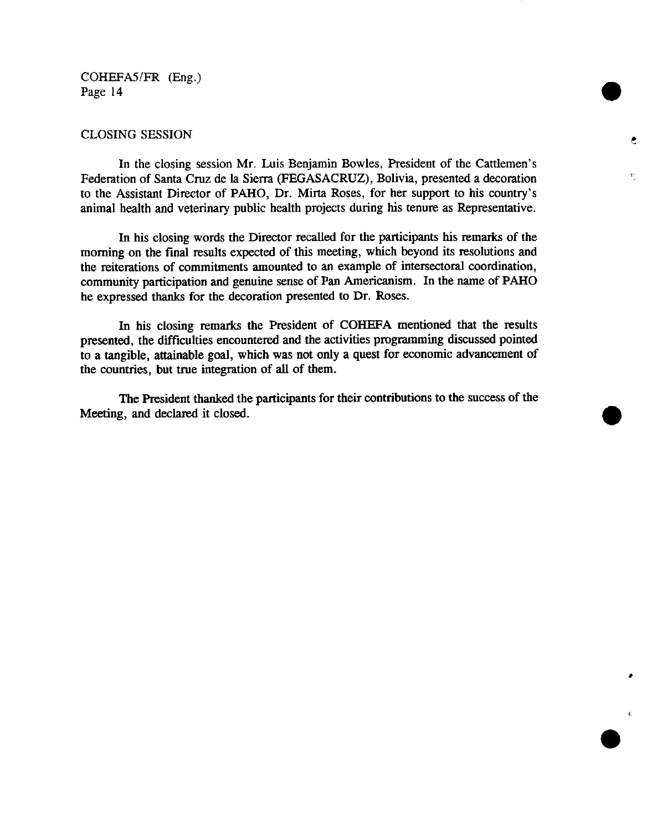## CLOSING SESSION

In the closing session Mr. Luis Benjamin Bowles, President of the Cattlemen's Federation of Santa Cruz de la Sierra (FEGASACRUZ), Bolivia, presented a decoration to the Assistant Director of PAHO, Dr. Mirta Roses, for her support to his country's animal health and veterinary public health projects during his tenure as Representative.

In his closing words the Director recalled for the participants his remarks of the morning on the final results expected of this meeting, which beyond its resolutions and the reiterations of commitments amounted to an example of intersectoral coordination, community participation and genuine sense of Pan Americanism. In the name of PAHO he expressed thanks for the decoration presented to Dr. Roses.

In his closing remarks the President of COHEFA mentioned that the results presented, the difficulties encountered and the activities programming discussed pointed to a tangible, attainable goal, which was not only a quest for economic advancement of the countries, but true integration of all of them.

The President thanked the participants for their contributions to the success of the Meeting, and declared it closed.